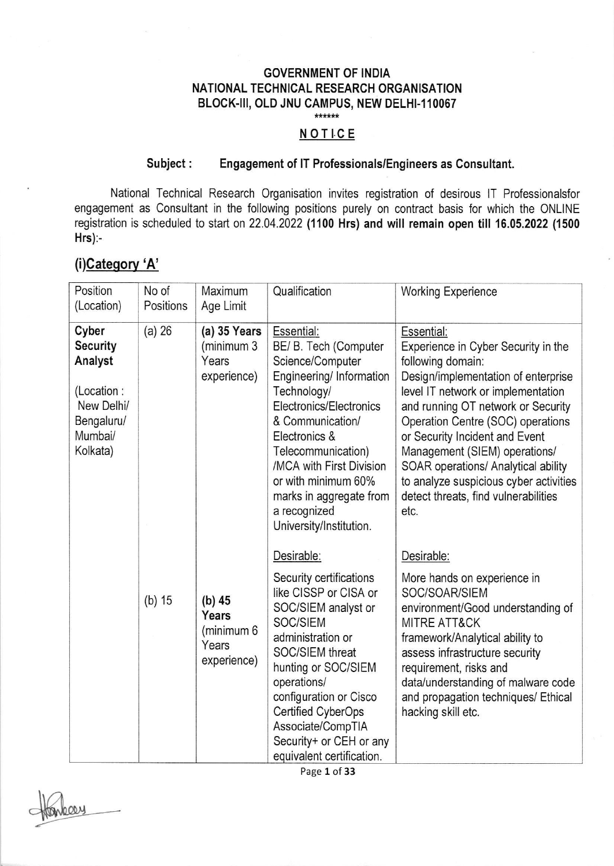### GOVERNMENT OF INDIA NATIONAL TECHNICAL RESEARCH ORGANISATION BLOCK-III, OLD JNU CAMPUS, NEW DELHI-110067

# \*\*\*\*\*

#### NOTICE

#### Subject: Engagement of lT Professionals/Engineers as Consultant.

National Technical Research Organisation invites registration of desirous lT Professionalsfor engagement as Consultant in the following positions purely on contract basis for which the ONLINE registration is scheduled to start on 22.04.2022 (1100 Hrs) and will remain open till 16.05.2022 (1500 Hrs):-

## (i)Category 'A'

| Position<br>(Location)                                                                               | No of<br>Positions | Maximum<br>Age Limit                                    | Qualification                                                                                                                                                                                                                                                                                                     | <b>Working Experience</b>                                                                                                                                                                                                                                                                                                                                                                                                          |
|------------------------------------------------------------------------------------------------------|--------------------|---------------------------------------------------------|-------------------------------------------------------------------------------------------------------------------------------------------------------------------------------------------------------------------------------------------------------------------------------------------------------------------|------------------------------------------------------------------------------------------------------------------------------------------------------------------------------------------------------------------------------------------------------------------------------------------------------------------------------------------------------------------------------------------------------------------------------------|
| Cyber<br><b>Security</b><br>Analyst<br>(Location:<br>New Delhi/<br>Bengaluru/<br>Mumbai/<br>Kolkata) | $(a)$ 26           | $(a)$ 35 Years<br>(minimum 3<br>Years<br>experience)    | Essential:<br>BE/ B. Tech (Computer<br>Science/Computer<br>Engineering/ Information<br>Technology/<br>Electronics/Electronics<br>& Communication/<br>Electronics &<br>Telecommunication)<br>/MCA with First Division<br>or with minimum 60%<br>marks in aggregate from<br>a recognized<br>University/Institution. | Essential:<br>Experience in Cyber Security in the<br>following domain:<br>Design/implementation of enterprise<br>level IT network or implementation<br>and running OT network or Security<br>Operation Centre (SOC) operations<br>or Security Incident and Event<br>Management (SIEM) operations/<br>SOAR operations/ Analytical ability<br>to analyze suspicious cyber activities<br>detect threats, find vulnerabilities<br>etc. |
|                                                                                                      | $(b)$ 15           | $(b)$ 45<br>Years<br>(minimum 6<br>Years<br>experience) | Desirable:<br>Security certifications<br>like CISSP or CISA or<br>SOC/SIEM analyst or<br>SOC/SIEM<br>administration or<br>SOC/SIEM threat<br>hunting or SOC/SIEM<br>operations/<br>configuration or Cisco<br>Certified CyberOps<br>Associate/CompTIA<br>Security+ or CEH or any<br>equivalent certification.      | Desirable:<br>More hands on experience in<br>SOC/SOAR/SIEM<br>environment/Good understanding of<br><b>MITRE ATT&amp;CK</b><br>framework/Analytical ability to<br>assess infrastructure security<br>requirement, risks and<br>data/understanding of malware code<br>and propagation techniques/ Ethical<br>hacking skill etc.                                                                                                       |

Page 1 of 33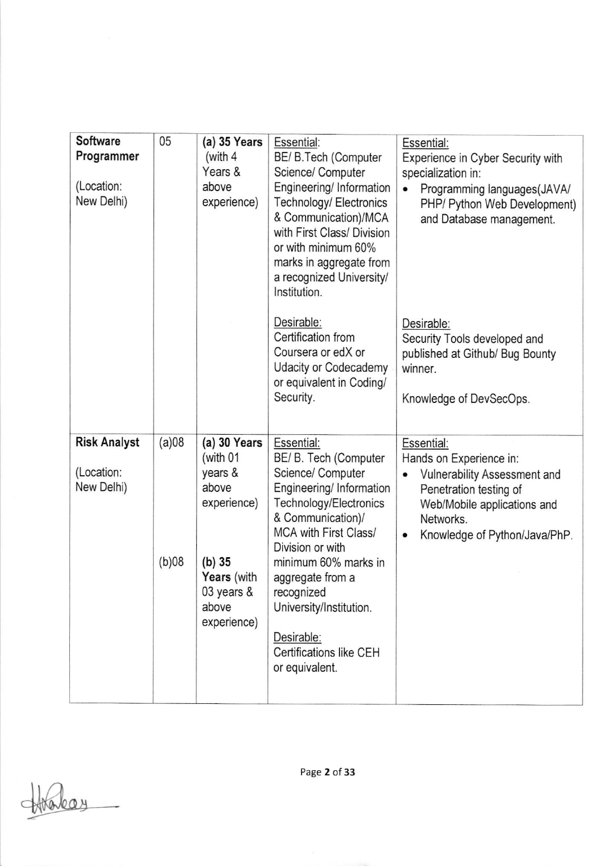| Software<br>Programmer<br>(Location:<br>New Delhi) | 05             | $(a)$ 35 Years<br>(with $4$<br>Years &<br>above<br>experience)                                                                        | Essential:<br>BE/ B. Tech (Computer<br>Science/ Computer<br>Engineering/ Information<br>Technology/ Electronics<br>& Communication)/MCA<br>with First Class/ Division<br>or with minimum 60%<br>marks in aggregate from<br>a recognized University/<br>Institution.                                                              | Essential:<br>Experience in Cyber Security with<br>specialization in:<br>Programming languages(JAVA/<br>$\bullet$<br>PHP/ Python Web Development)<br>and Database management. |
|----------------------------------------------------|----------------|---------------------------------------------------------------------------------------------------------------------------------------|----------------------------------------------------------------------------------------------------------------------------------------------------------------------------------------------------------------------------------------------------------------------------------------------------------------------------------|-------------------------------------------------------------------------------------------------------------------------------------------------------------------------------|
|                                                    |                |                                                                                                                                       | Desirable:<br>Certification from<br>Coursera or edX or<br>Udacity or Codecademy<br>or equivalent in Coding/<br>Security.                                                                                                                                                                                                         | Desirable:<br>Security Tools developed and<br>published at Github/ Bug Bounty<br>winner.<br>Knowledge of DevSecOps.                                                           |
| <b>Risk Analyst</b><br>(Location:<br>New Delhi)    | (a)08<br>(b)08 | $(a)$ 30 Years<br>(with 01<br>years &<br>above<br>experience)<br>$(b)$ 35<br><b>Years</b> (with<br>03 years &<br>above<br>experience) | Essential:<br>BE/ B. Tech (Computer<br>Science/ Computer<br>Engineering/ Information<br>Technology/Electronics<br>& Communication)/<br>MCA with First Class/<br>Division or with<br>minimum 60% marks in<br>aggregate from a<br>recognized<br>University/Institution.<br>Desirable:<br>Certifications like CEH<br>or equivalent. | Essential:<br>Hands on Experience in:<br>Vulnerability Assessment and<br>Penetration testing of<br>Web/Mobile applications and<br>Networks.<br>Knowledge of Python/Java/PhP.  |

takay

Page 2 of 33